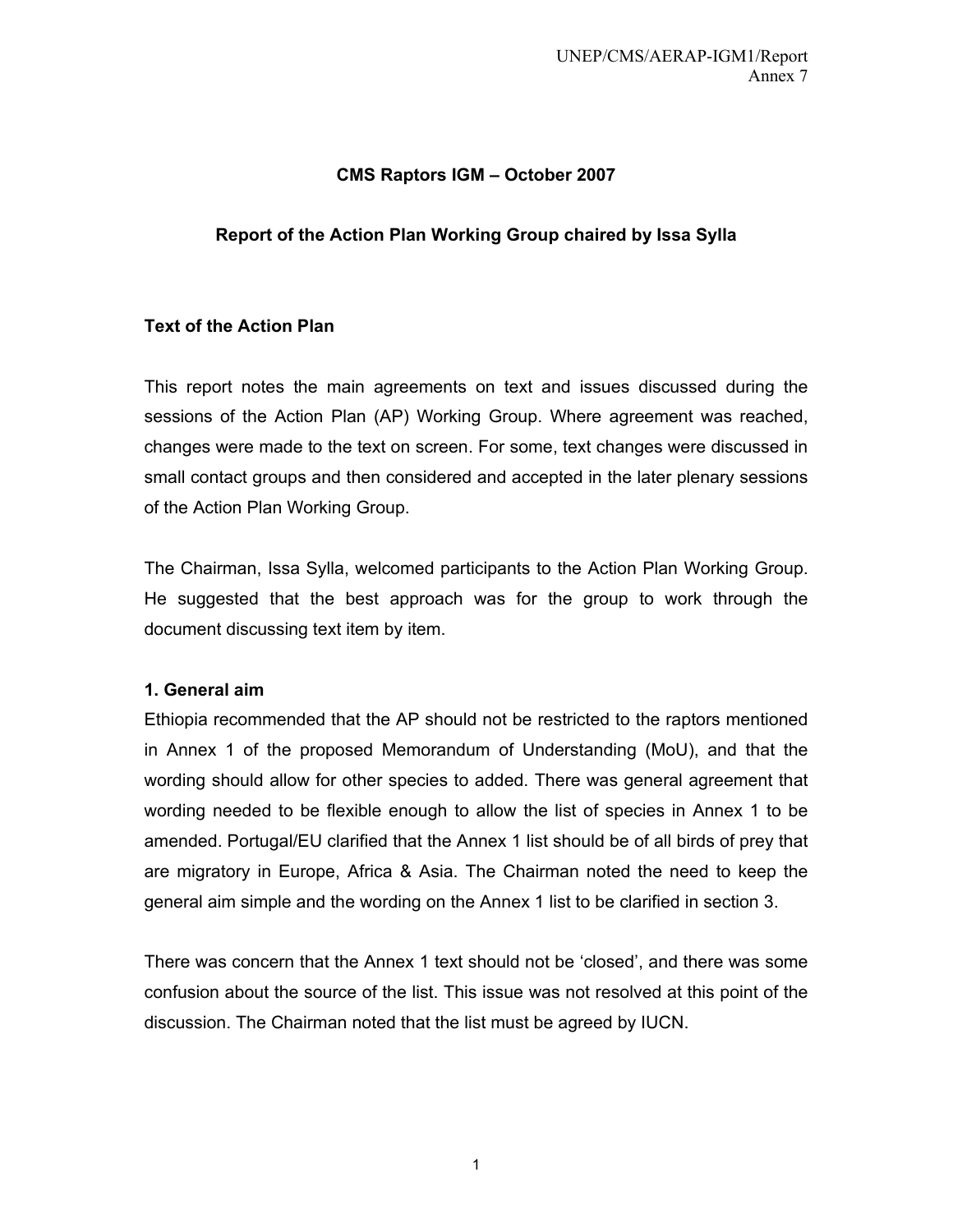## **CMS Raptors IGM – October 2007**

## **Report of the Action Plan Working Group chaired by Issa Sylla**

## **Text of the Action Plan**

This report notes the main agreements on text and issues discussed during the sessions of the Action Plan (AP) Working Group. Where agreement was reached, changes were made to the text on screen. For some, text changes were discussed in small contact groups and then considered and accepted in the later plenary sessions of the Action Plan Working Group.

The Chairman, Issa Sylla, welcomed participants to the Action Plan Working Group. He suggested that the best approach was for the group to work through the document discussing text item by item.

## **1. General aim**

Ethiopia recommended that the AP should not be restricted to the raptors mentioned in Annex 1 of the proposed Memorandum of Understanding (MoU), and that the wording should allow for other species to added. There was general agreement that wording needed to be flexible enough to allow the list of species in Annex 1 to be amended. Portugal/EU clarified that the Annex 1 list should be of all birds of prey that are migratory in Europe, Africa & Asia. The Chairman noted the need to keep the general aim simple and the wording on the Annex 1 list to be clarified in section 3.

There was concern that the Annex 1 text should not be 'closed', and there was some confusion about the source of the list. This issue was not resolved at this point of the discussion. The Chairman noted that the list must be agreed by IUCN.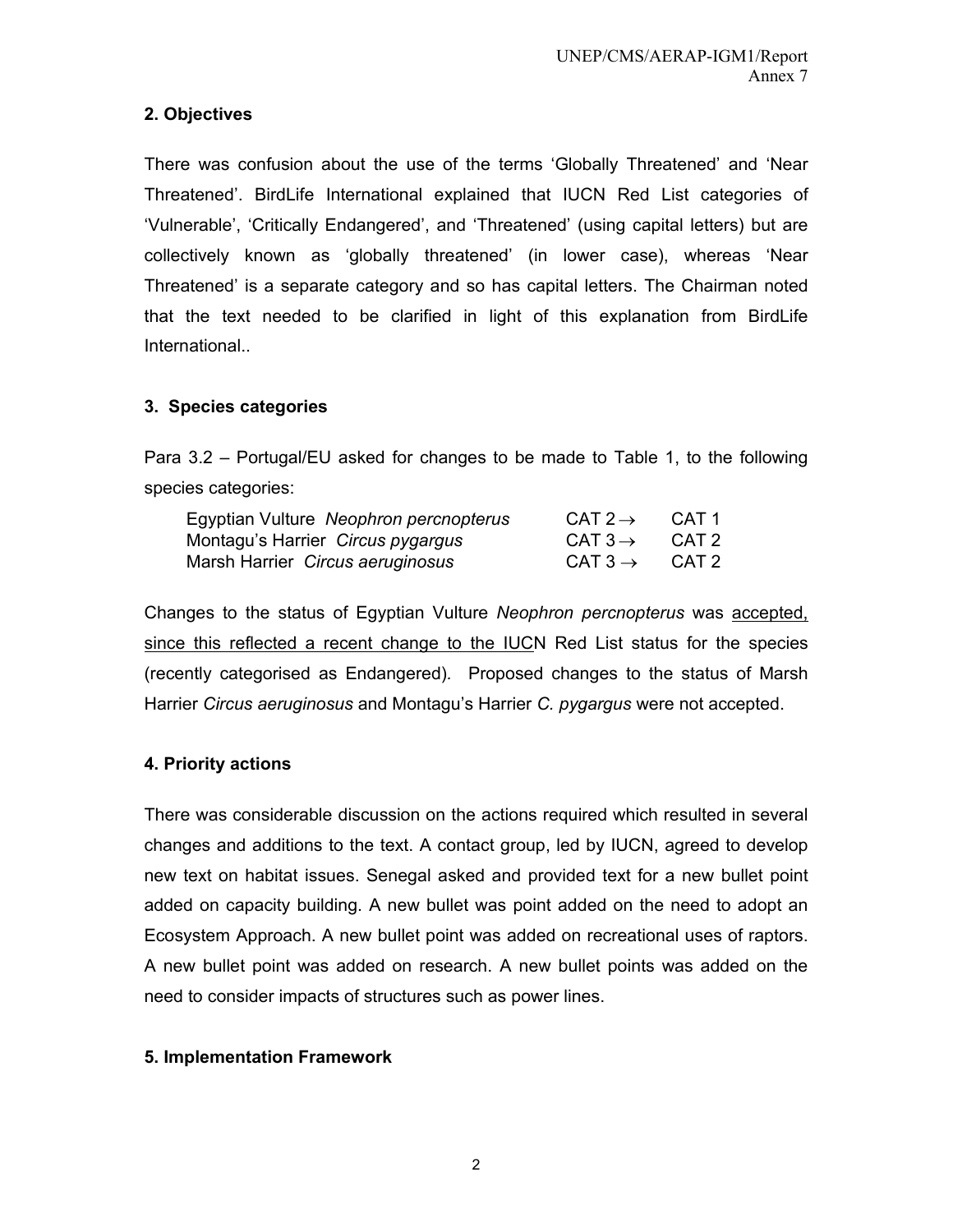## **2. Objectives**

There was confusion about the use of the terms 'Globally Threatened' and 'Near Threatened'. BirdLife International explained that IUCN Red List categories of 'Vulnerable', 'Critically Endangered', and 'Threatened' (using capital letters) but are collectively known as 'globally threatened' (in lower case), whereas 'Near Threatened' is a separate category and so has capital letters. The Chairman noted that the text needed to be clarified in light of this explanation from BirdLife International..

## **3. Species categories**

Para 3.2 – Portugal/EU asked for changes to be made to Table 1, to the following species categories:

| Egyptian Vulture Neophron percnopterus | CAT 2 $\rightarrow$ | CAT 1 |
|----------------------------------------|---------------------|-------|
| Montagu's Harrier Circus pygargus      | CAT $3 \rightarrow$ | CAT 2 |
| Marsh Harrier Circus aeruginosus       | CAT $3 \rightarrow$ | CAT 2 |

Changes to the status of Egyptian Vulture *Neophron percnopterus* was accepted, since this reflected a recent change to the IUCN Red List status for the species (recently categorised as Endangered)*.* Proposed changes to the status of Marsh Harrier *Circus aeruginosus* and Montagu's Harrier *C. pygargus* were not accepted.

# **4. Priority actions**

There was considerable discussion on the actions required which resulted in several changes and additions to the text. A contact group, led by IUCN, agreed to develop new text on habitat issues. Senegal asked and provided text for a new bullet point added on capacity building. A new bullet was point added on the need to adopt an Ecosystem Approach. A new bullet point was added on recreational uses of raptors. A new bullet point was added on research. A new bullet points was added on the need to consider impacts of structures such as power lines.

## **5. Implementation Framework**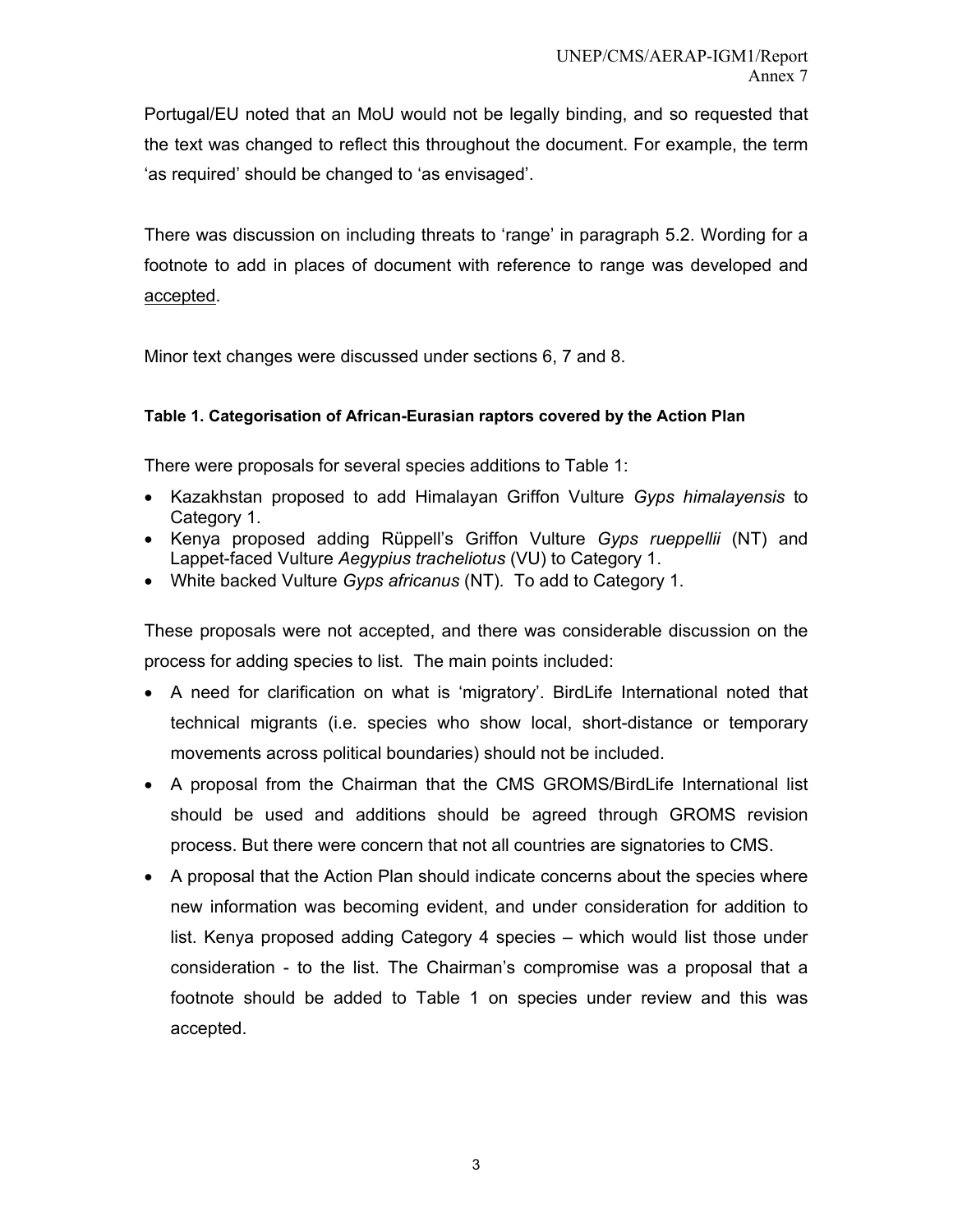Portugal/EU noted that an MoU would not be legally binding, and so requested that the text was changed to reflect this throughout the document. For example, the term 'as required' should be changed to 'as envisaged'.

There was discussion on including threats to 'range' in paragraph 5.2. Wording for a footnote to add in places of document with reference to range was developed and accepted.

Minor text changes were discussed under sections 6, 7 and 8.

### **Table 1. Categorisation of African-Eurasian raptors covered by the Action Plan**

There were proposals for several species additions to Table 1:

- Kazakhstan proposed to add Himalayan Griffon Vulture *Gyps himalayensis* to Category 1.
- Kenya proposed adding Rüppell's Griffon Vulture *Gyps rueppellii* (NT) and Lappet-faced Vulture *Aegypius tracheliotus* (VU) to Category 1.
- White backed Vulture *Gyps africanus* (NT)*.* To add to Category 1.

These proposals were not accepted, and there was considerable discussion on the process for adding species to list. The main points included:

- A need for clarification on what is 'migratory'. BirdLife International noted that technical migrants (i.e. species who show local, short-distance or temporary movements across political boundaries) should not be included.
- A proposal from the Chairman that the CMS GROMS/BirdLife International list should be used and additions should be agreed through GROMS revision process. But there were concern that not all countries are signatories to CMS.
- A proposal that the Action Plan should indicate concerns about the species where new information was becoming evident, and under consideration for addition to list. Kenya proposed adding Category 4 species – which would list those under consideration - to the list. The Chairman's compromise was a proposal that a footnote should be added to Table 1 on species under review and this was accepted.